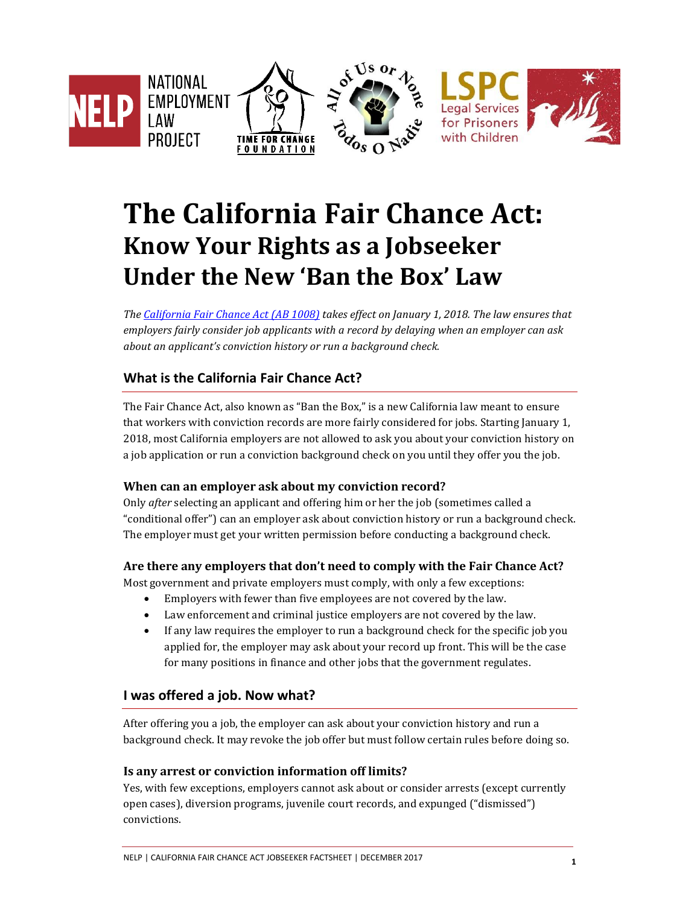

# **The California Fair Chance Act: Know Your Rights as a Jobseeker Under the New 'Ban the Box' Law**

*The [California Fair Chance Act \(AB 1008\)](https://leginfo.legislature.ca.gov/faces/billNavClient.xhtml?bill_id=201720180AB1008) takes effect on January 1, 2018. The law ensures that employers fairly consider job applicants with a record by delaying when an employer can ask about an applicant's conviction history or run a background check.*

## **What is the California Fair Chance Act?**

The Fair Chance Act, also known as "Ban the Box," is a new California law meant to ensure that workers with conviction records are more fairly considered for jobs. Starting January 1, 2018, most California employers are not allowed to ask you about your conviction history on a job application or run a conviction background check on you until they offer you the job.

## **When can an employer ask about my conviction record?**

Only *after* selecting an applicant and offering him or her the job (sometimes called a "conditional offer") can an employer ask about conviction history or run a background check. The employer must get your written permission before conducting a background check.

#### **Are there any employers that don't need to comply with the Fair Chance Act?**

Most government and private employers must comply, with only a few exceptions:

- Employers with fewer than five employees are not covered by the law.
- Law enforcement and criminal justice employers are not covered by the law.
- If any law requires the employer to run a background check for the specific job you applied for, the employer may ask about your record up front. This will be the case for many positions in finance and other jobs that the government regulates.

## **I was offered a job. Now what?**

After offering you a job, the employer can ask about your conviction history and run a background check. It may revoke the job offer but must follow certain rules before doing so.

#### **Is any arrest or conviction information off limits?**

Yes, with few exceptions, employers cannot ask about or consider arrests (except currently open cases), diversion programs, juvenile court records, and expunged ("dismissed") convictions.